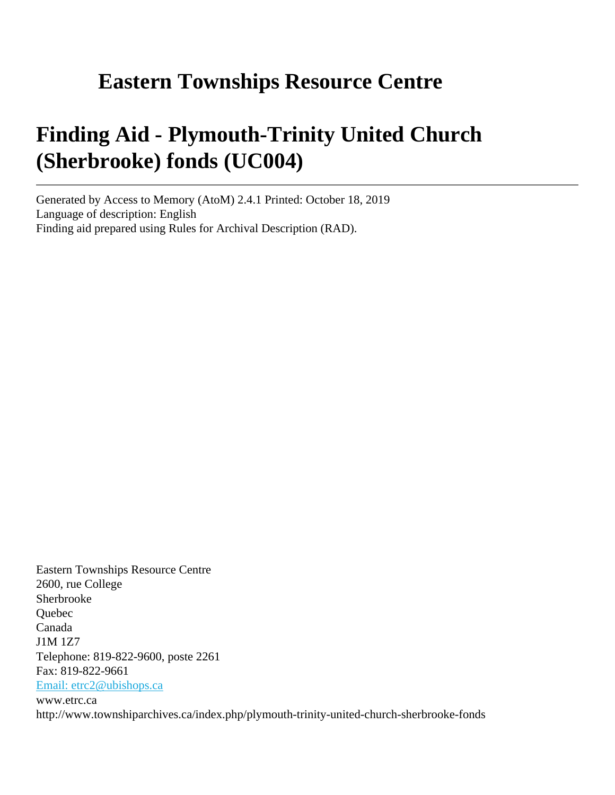# **Eastern Townships Resource Centre**

# **Finding Aid - Plymouth-Trinity United Church (Sherbrooke) fonds (UC004)**

Generated by Access to Memory (AtoM) 2.4.1 Printed: October 18, 2019 Language of description: English Finding aid prepared using Rules for Archival Description (RAD).

Eastern Townships Resource Centre 2600, rue College Sherbrooke Quebec Canada J1M 1Z7 Telephone: 819-822-9600, poste 2261 Fax: 819-822-9661 [Email: etrc2@ubishops.ca](mailto:Email: etrc2@ubishops.ca) www.etrc.ca http://www.townshiparchives.ca/index.php/plymouth-trinity-united-church-sherbrooke-fonds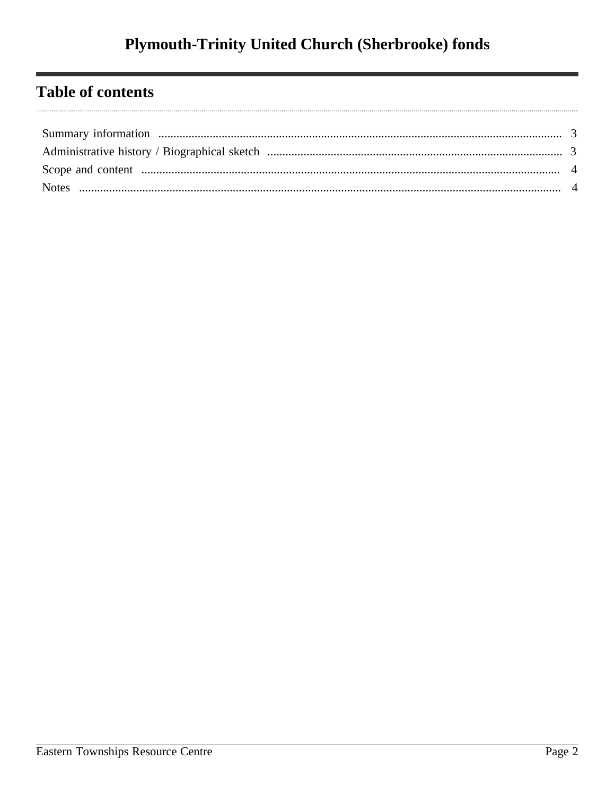## **Table of contents**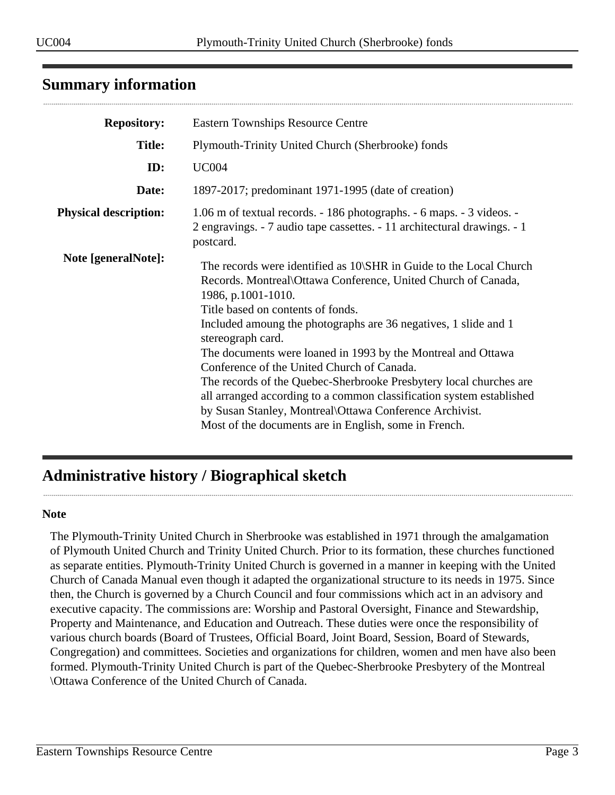## <span id="page-2-0"></span>**Summary information**

| <b>Repository:</b>           | <b>Eastern Townships Resource Centre</b>                                                                                                                                                                                                                                                                                                                                                                                                                                                                                                                                                                                                                               |
|------------------------------|------------------------------------------------------------------------------------------------------------------------------------------------------------------------------------------------------------------------------------------------------------------------------------------------------------------------------------------------------------------------------------------------------------------------------------------------------------------------------------------------------------------------------------------------------------------------------------------------------------------------------------------------------------------------|
| <b>Title:</b>                | Plymouth-Trinity United Church (Sherbrooke) fonds                                                                                                                                                                                                                                                                                                                                                                                                                                                                                                                                                                                                                      |
| ID:                          | <b>UC004</b>                                                                                                                                                                                                                                                                                                                                                                                                                                                                                                                                                                                                                                                           |
| Date:                        | 1897-2017; predominant 1971-1995 (date of creation)                                                                                                                                                                                                                                                                                                                                                                                                                                                                                                                                                                                                                    |
| <b>Physical description:</b> | 1.06 m of textual records. - 186 photographs. - 6 maps. - 3 videos. -<br>2 engravings. - 7 audio tape cassettes. - 11 architectural drawings. - 1<br>postcard.                                                                                                                                                                                                                                                                                                                                                                                                                                                                                                         |
| Note [generalNote]:          | The records were identified as 10\SHR in Guide to the Local Church<br>Records. Montreal\Ottawa Conference, United Church of Canada,<br>1986, p.1001-1010.<br>Title based on contents of fonds.<br>Included amoung the photographs are 36 negatives, 1 slide and 1<br>stereograph card.<br>The documents were loaned in 1993 by the Montreal and Ottawa<br>Conference of the United Church of Canada.<br>The records of the Quebec-Sherbrooke Presbytery local churches are<br>all arranged according to a common classification system established<br>by Susan Stanley, Montreal\Ottawa Conference Archivist.<br>Most of the documents are in English, some in French. |

## <span id="page-2-1"></span>**Administrative history / Biographical sketch**

#### **Note**

The Plymouth-Trinity United Church in Sherbrooke was established in 1971 through the amalgamation of Plymouth United Church and Trinity United Church. Prior to its formation, these churches functioned as separate entities. Plymouth-Trinity United Church is governed in a manner in keeping with the United Church of Canada Manual even though it adapted the organizational structure to its needs in 1975. Since then, the Church is governed by a Church Council and four commissions which act in an advisory and executive capacity. The commissions are: Worship and Pastoral Oversight, Finance and Stewardship, Property and Maintenance, and Education and Outreach. These duties were once the responsibility of various church boards (Board of Trustees, Official Board, Joint Board, Session, Board of Stewards, Congregation) and committees. Societies and organizations for children, women and men have also been formed. Plymouth-Trinity United Church is part of the Quebec-Sherbrooke Presbytery of the Montreal \Ottawa Conference of the United Church of Canada.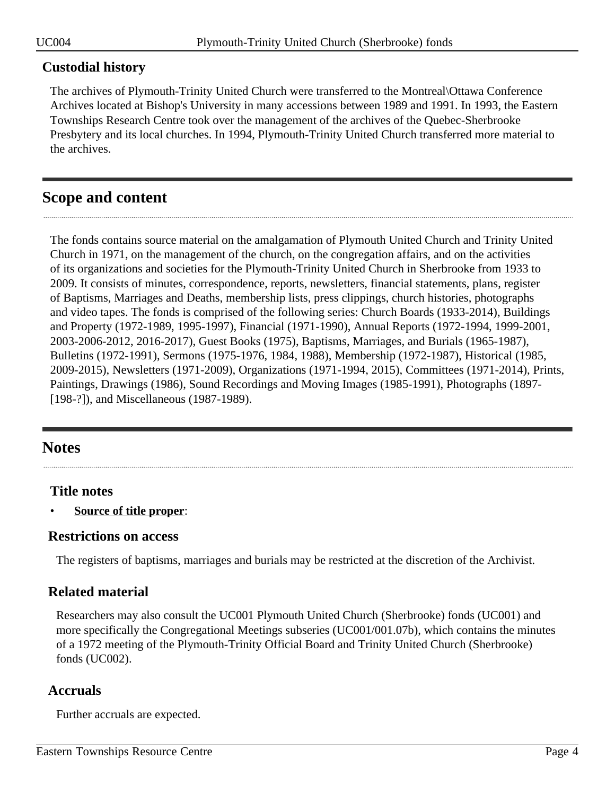#### **Custodial history**

The archives of Plymouth-Trinity United Church were transferred to the Montreal\Ottawa Conference Archives located at Bishop's University in many accessions between 1989 and 1991. In 1993, the Eastern Townships Research Centre took over the management of the archives of the Quebec-Sherbrooke Presbytery and its local churches. In 1994, Plymouth-Trinity United Church transferred more material to the archives.

## <span id="page-3-0"></span>**Scope and content**

The fonds contains source material on the amalgamation of Plymouth United Church and Trinity United Church in 1971, on the management of the church, on the congregation affairs, and on the activities of its organizations and societies for the Plymouth-Trinity United Church in Sherbrooke from 1933 to 2009. It consists of minutes, correspondence, reports, newsletters, financial statements, plans, register of Baptisms, Marriages and Deaths, membership lists, press clippings, church histories, photographs and video tapes. The fonds is comprised of the following series: Church Boards (1933-2014), Buildings and Property (1972-1989, 1995-1997), Financial (1971-1990), Annual Reports (1972-1994, 1999-2001, 2003-2006-2012, 2016-2017), Guest Books (1975), Baptisms, Marriages, and Burials (1965-1987), Bulletins (1972-1991), Sermons (1975-1976, 1984, 1988), Membership (1972-1987), Historical (1985, 2009-2015), Newsletters (1971-2009), Organizations (1971-1994, 2015), Committees (1971-2014), Prints, Paintings, Drawings (1986), Sound Recordings and Moving Images (1985-1991), Photographs (1897- [198-?]), and Miscellaneous (1987-1989).

## <span id="page-3-1"></span>**Notes**

### **Title notes**

• **Source of title proper**:

#### **Restrictions on access**

The registers of baptisms, marriages and burials may be restricted at the discretion of the Archivist.

### **Related material**

Researchers may also consult the UC001 Plymouth United Church (Sherbrooke) fonds (UC001) and more specifically the Congregational Meetings subseries (UC001/001.07b), which contains the minutes of a 1972 meeting of the Plymouth-Trinity Official Board and Trinity United Church (Sherbrooke) fonds (UC002).

### **Accruals**

Further accruals are expected.